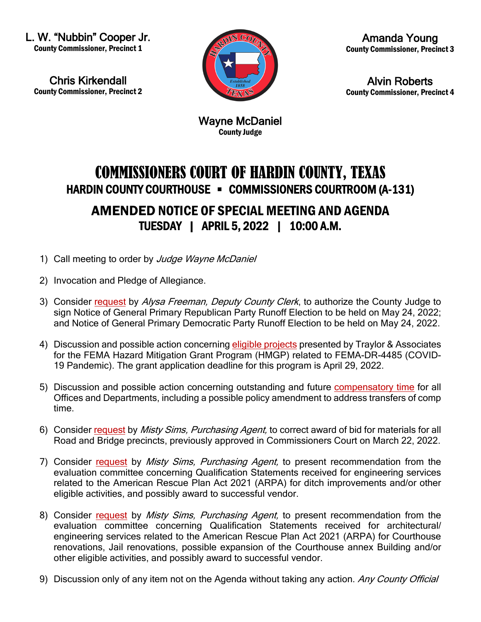L. W. "Nubbin" Cooper Jr. County Commissioner, Precinct 1

Chris Kirkendall County Commissioner, Precinct 2



Amanda Young County Commissioner, Precinct 3

Alvin Roberts County Commissioner, Precinct 4

Wayne McDaniel County Judge

## COMMISSIONERS COURT OF HARDIN COUNTY, TEXAS HARDIN COUNTY COURTHOUSE • COMMISSIONERS COURTROOM (A-131) AMENDED NOTICE OF SPECIAL MEETING AND AGENDA TUESDAY | APRIL 5, 2022 | 10:00 A.M.

- 1) Call meeting to order by Judge Wayne McDaniel
- 2) Invocation and Pledge of Allegiance.
- 3) Consider [request](https://newtools.cira.state.tx.us/upload/page/10643/Agenda%20Documents/Notice%20of%20Election%20May%207%202022.pdf) by Alysa Freeman, Deputy County Clerk, to authorize the County Judge to sign Notice of General Primary Republican Party Runoff Election to be held on May 24, 2022; and Notice of General Primary Democratic Party Runoff Election to be held on May 24, 2022.
- 4) Discussion and possible action concerning [eligible projects](https://newtools.cira.state.tx.us/upload/page/10643/HMGP%20Info%20Sheet.pdf) presented by Traylor & Associates for the FEMA Hazard Mitigation Grant Program (HMGP) related to FEMA-DR-4485 (COVID-19 Pandemic). The grant application deadline for this program is April 29, 2022.
- 5) Discussion and possible action concerning outstanding and future [compensatory time](https://newtools.cira.state.tx.us/upload/page/10643/Comp%20Time%20as%20of%2003.19.22%20for%20Court%20on%204.5.22.pdf) for all Offices and Departments, including a possible policy amendment to address transfers of comp time.
- 6) Consider [request](https://newtools.cira.state.tx.us/upload/page/10643/Correction%20of%20materials%20and%20emulsions.pdf) by Misty Sims, Purchasing Agent, to correct award of bid for materials for all Road and Bridge precincts, previously approved in Commissioners Court on March 22, 2022.
- 7) Consider [request](https://newtools.cira.state.tx.us/upload/page/10643/Recommendation%20engineering%20services.pdf) by Misty Sims, Purchasing Agent, to present recommendation from the evaluation committee concerning Qualification Statements received for engineering services related to the American Rescue Plan Act 2021 (ARPA) for ditch improvements and/or other eligible activities, and possibly award to successful vendor.
- 8) Consider [request](https://newtools.cira.state.tx.us/upload/page/10643/architectural%20engineering%20services.pdf) by *Misty Sims, Purchasing Agent*, to present recommendation from the evaluation committee concerning Qualification Statements received for architectural/ engineering services related to the American Rescue Plan Act 2021 (ARPA) for Courthouse renovations, Jail renovations, possible expansion of the Courthouse annex Building and/or other eligible activities, and possibly award to successful vendor.
- 9) Discussion only of any item not on the Agenda without taking any action. Any County Official